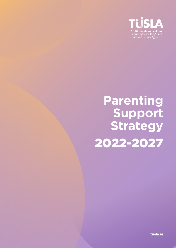

# **Parenting Support Strategy** 2022-2027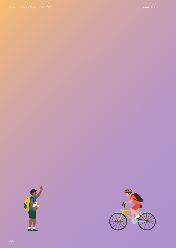

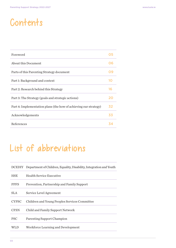## Contents

| Foreword                                                         |    |
|------------------------------------------------------------------|----|
| About this Document                                              | OG |
| Parts of this Parenting Strategy document                        | OC |
| Part 1: Background and context                                   | 10 |
| Part 2: Research behind this Strategy                            | 16 |
| Part 3: The Strategy (goals and strategic actions)               | 20 |
| Part 4: Implementation plans (the how of achieving our strategy) | 32 |
| Acknowledgements                                                 | 33 |
| References                                                       |    |

## List of abbreviations

| Department of Children, Equality, Disability, Integration and Youth |
|---------------------------------------------------------------------|
|                                                                     |
|                                                                     |
|                                                                     |
| Children and Young Peoples Services Committee                       |
|                                                                     |
|                                                                     |
|                                                                     |
| Prevention, Partnership and Family Support                          |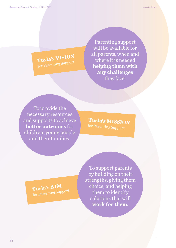### **Tusla's VISION** for Parenting Support

Parenting support will be available for all parents, when and where it is needed **helping them with any challenges** they face.

To provide the necessary resources and supports to achieve **better outcomes** for children, young people and their families.

**Tusla's MISSION** for Parenting Support

**Tusla's AIM** for Parenting Support

To support parents by building on their strengths, giving them choice, and helping them to identify solutions that will **work for them.**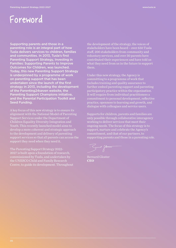### Foreword

Supporting parents and those in a parenting role is an integral part of how Tusla delivers services to children, families and communities. In 2013, Tusla's first Parenting Support Strategy, Investing in Families: Supporting Parents to Improve Outcomes for Children, was launched. Today, this new Parenting Support Strategy is underpinned by a programme of work on parenting support that has been undertaken since the launch of the first strategy in 2013, including the development of the Parenting24seven website, the Parenting Support Champions initiative, and the Parental Participation Toolkit and Seed Funding.

A key focus of this new strategy is to ensure its alignment with the National Model of Parenting Support Services under the Department of Children Equality Diversity Integration and Youth. This recently launched model aims to develop a more coherent and strategic approach to the development and delivery of parenting support services so that all parents can access the support they need when they need it.

The Parenting Support Strategy 2022- 2027 is built upon a foundation of research, commissioned by Tusla, and undertaken by the UNESCO Child and Family Research Centre, to guide its development. Throughout the development of the strategy, the voices of stakeholders have been heard – over 650 Tusla staff, 200 stakeholders from community and voluntary services, and over 30 parents have contributed their experiences and have told us what they need from us in the future to support them.

Under this new strategy, the Agency is committing to a programme of work that includes training and quality assurance to further embed parenting support and parenting participatory practice within the organisation. It will require from individual practitioners a commitment to personal development, reflective practice, openness to learning and growth, and dialogue with colleagues and service users.

Supports for children, parents and families are only possible through collaborative interagency working to deliver services that meet their ongoing needs. The focus of this strategy is to support, nurture and celebrate the Agency's commitment, and that of our partners, to supporting parents and those in a parenting role.

Toure floor

Bernard Gloster **CEO**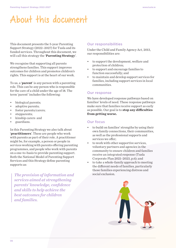## About this document

This document presents the 5-year Parenting Support Strategy (2022–2027) for Tusla and its funded services. Throughout this document, we will call this strategy the '**Parenting Strategy**'.

We recognise that supporting all parents strengthens families. This support improves outcomes for children and promotes children's rights. This support is at the heart of our work.

To us, a '**parent**' is any person with a parenting role. This can be any person who is responsible for the care of a child under the age of 18. The term 'parent' includes the following:

- biological parents;
- adoptive parents;
- foster parents/carers;
- stepparents;
- kinship carers and
- guardians.

In this Parenting Strategy we also talk about '**practitioners**'. These are people who work with parents as part of their role. A practitioner might be, for example, a person or people in services working with parents offering parenting programmes, and people who work with parents on a one-to-basis to provide parenting support. Both the National Model of Parenting Support Services and this Strategy define parenting supports as:

*The provision of information and services aimed at strengthening parents' knowledge, confidence and skills to help achieve the best outcomes for children and families.*

#### Our responsibilities

Under the Child and Family Agency Act, 2013, our responsibilities are:

- to support the development, welfare and protection of children;
- to support and encourage families to function successfully; and
- to maintain and develop support services for families, including support services in local communities.

#### Our response

We have developed response pathways based on families' levels of need. These response pathways make sure that families receive support as early as possible. Our goal is to **stop any difficulties from getting worse.**

#### Our focus

- to build on families' strengths by using their own family connections, their communities, as well as the professional supports and services we offer;
- to work with other supportive services, voluntary partners and agencies in the community to ensure children and families receive an integrated response (Tusla Corporate Plan 2021–2023, p.6); and
- to take a whole-family approach to meeting the different needs of families, particularly those families experiencing distress and social exclusion.

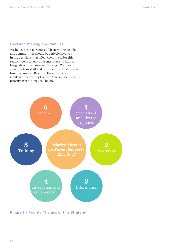#### Decision-making and families

We believe that parents, children, young people and communities should be actively involved in the decisions that affect their lives. For this reason, we listened to parents' views to inform the goals of this Parenting Strategy. We also consulted our staff and organisations that receive funding from us. Based on these views, we identified six priority themes. You can see these priority areas in Figure 1 below.



Figure 1 – Priority Themes of this Strategy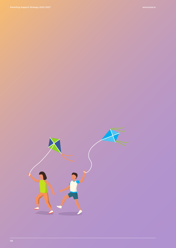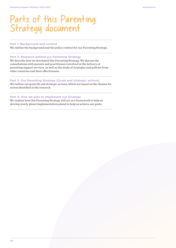## Parts of this Parenting Strategy document

#### Part 1: Background and context

We outline the background and the policy context for our Parenting Strategy.

#### Part 2: Research behind our Parenting Strategy

We describe how we developed this Parenting Strategy. We discuss the consultations with parents and practitioners involved in the delivery of parenting support services, as well as the study of strategies and policies from other countries and their effectiveness.

#### Part 3: Our Parenting Strategy (Goals and strategic actions)

We outline our goals (6) and strategic actions, which are based on the themes for action identified in the research.

#### Part 4: How we plan to implement our Strategy

We explain how this Parenting Strategy will act as a framework to help us develop yearly plans (implementation plans) to help us achieve our goals.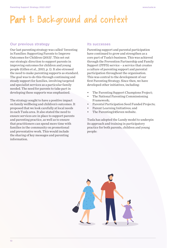## Part 1: Background and context

#### Our previous strategy

Our last parenting strategy was called 'Investing in Families: Supporting Parents to Improve Outcomes for Children (2013)'. This set out our strategic direction to support parents in improving outcomes for children and young people (Gillen et al., 2013, p. 1). It also stressed the need to make parenting supports as standard. The goal was to do this through continuing and steady support for families, involving targeted and specialist services as a particular family needed. The need for parents to take part in developing these supports was emphasised.

The strategy sought to have a positive impact on family wellbeing and children's outcomes. It proposed that we look carefully at local needs in each Tusla area. It also stated the need to ensure services are in place to support parents and parenting practice, as well as to ensure that practitioners can spend more time with families in the community on promotional and preventative work. This would include the sharing of key messages and parenting information.

#### Its successes

Parenting support and parental participation have continued to grow and strengthen as a core part of Tusla's business. This was achieved through the Prevention Partnership and Family Support (PPFS) service – a service that creates a culture of parenting support and parental participation throughout the organisation. This was central to the development of our first Parenting Strategy. Since then, we have developed other initiatives, including:

- The Parenting Support Champions Project;
- The National Parenting Commissioning Framework;
- Parental Participation Seed Funded Projects;
- Parent Learning Initiatives; and
- The Parenting24Seven website.

Tusla has adopted the Lundy model to underpin its approach and training in participatory practice for both parents, children and young people:

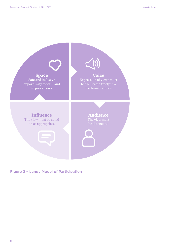

Figure 2 – Lundy Model of Participation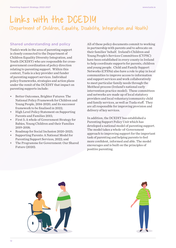### Links with the DCEDIY (Department of Children, Equality, Disability, Integration and Youth)

#### Shared understanding and policy

Tusla's work in the area of parenting support is closely connected to the Department of Children Equality Diversity Integration, and Youth (DCEDIY) who are responsible for crossgovernment coordination of policy direction relating to parenting support. Within this context, Tusla is a key provider and funder of parenting support services. Individual policy frameworks, strategies and action plans under the remit of the DCEDIY that impact on parenting supports include:

- Better Outcomes, Brighter Futures: The National Policy Framework for Children and Young People, 2014-2020, and its successor framework to be finalised in 2022;
- High Level Policy Statement on Supporting Parents and Families 2015;
- First 5: A whole of Government Strategy for Babies, Young Children and their Families 2019-2018;
- Roadmap for Social Inclusion 2020-2025;
- Supporting Parents: A National Model for Parenting Support Services, 2022; and
- The Programme for Government: Our Shared Future (2020).

All of these policy documents commit to working in partnership with parents and to advocate on their families' behalf. Ireland's Children and Young People's Services Committees (CYPSC) have been established in every county in Ireland to help coordinate supports for parents, children and young people. Child and Family Support Networks (CFSNs) also have a role to play in local communities to improve access to information and support services and work collaboratively to meet particular family needs through the Meitheal process (Ireland's national early intervention practice model). These committees and networks are made up of local statutory providers and local voluntary/community child and family services, as well as Tusla staff. They are all responsible for improving provision and delivery of key services.

In addition, the DCEDIY has established a Parenting Support Policy Unit which has developed a national model of parenting support. The model takes a whole-of-Government approach to improving support for the important task of parenting and helping parents to feel more confident, informed and able. The model encourages and is built on the principles of positive parenting.

![](_page_11_Picture_13.jpeg)

![](_page_11_Picture_14.jpeg)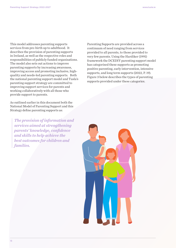This model addresses parenting supports services from pre-birth up to adulthood. It describes the provision of parenting supports in Ireland, as well as the respective roles and responsibilities of publicly funded organisations. The model also sets out actions to improve parenting supports by increasing awareness, improving access and promoting inclusive, highquality and needs-led parenting supports. Both the national parenting support model and Tusla's parenting support strategy are committed to improving support services for parents and working collaboratively with all those who provide support to parents.

As outlined earlier in this document both the National Model of Parenting Support and this Strategy define parenting supports as:

*The provision of information and services aimed at strengthening parents' knowledge, confidence and skills to help achieve the best outcomes for children and families.* 

Parenting Supports are provided across a continuum of need ranging from services provided to all parents, to those provided to very few parents. Using the Hardiker (1991) framework the DCEDIY parenting support model has categorised these supports as promoting positive parenting, early intervention, intensive supports, and long term supports (2022, P. 19). Figure 3 below describes the types of parenting supports provided under these categories.

![](_page_12_Picture_6.jpeg)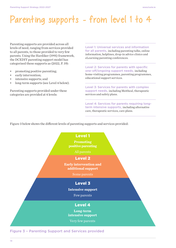## Parenting supports - from level 1 to 4

Parenting supports are provided across all levels of need, ranging from services provided to all parents, to those provided to very few parents. Using the Hardiker (1991) framework, the DCEDIY parenting support model has categorised these supports as (2022, P. 19):

- promoting positive parenting;
- early intervention;
- intensive supports; and
- long-term supports (see Level 4 below).

Parenting supports provided under these categories are provided at 4 levels:

Level 1: Universal services and information for all parents, including parenting talks, online information, helplines, drop-in advice clinics and eLearning parenting conferences.

Level 2: Services for parents with specific one-off/ongoing support needs, including home-visiting programmes, parenting programmes, educational support services.

Level 3: Services for parents with complex support needs, including Meitheal, therapeutic services and safety plans.

Level 4: Services for parents requiring longterm intensive supports, including alternative care, therapeutic services, care plans.

Figure 3 below shows the different levels of parenting supports and services provided:

![](_page_13_Figure_14.jpeg)

Figure 3 – Parenting Support and Services provided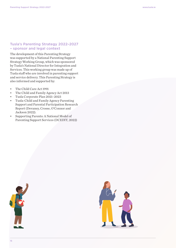#### Tusla's Parenting Strategy 2022–2027 – sponsor and legal context

The development of this Parenting Strategy was supported by a National Parenting Support Strategy Working Group, which was sponsored by Tusla's National Director for Integration and Services. This working group was made up of Tusla staff who are involved in parenting support and service delivery. This Parenting Strategy is also informed and supported by:

- The Child Care Act 1991
- The Child and Family Agency Act 2013
- Tusla Corporate Plan 2021–2023
- Tusla-Child and Family Agency Parenting Support and Parental Participation Research Report (Devaney, Crosse, O'Connor and Jackson 2022).
- Supporting Parents: A National Model of Parenting Support Services (DCEDIY, 2022)

![](_page_14_Picture_9.jpeg)

![](_page_14_Picture_10.jpeg)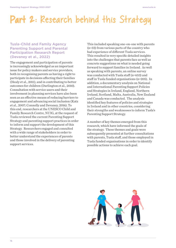# Part 2: Research behind this Strategy

#### Tusla-Child and Family Agency Parenting Support and Parental Participation Research Report (Devaney et al., 2022)

The engagement and participation of parents is increasingly acknowledged as an important issue for policy makers and service providers, both in recognising parents as having a right to participate in decisions affecting their families (Healy et al., 2011), and in contributing to better outcomes for children (Darlington et al., 2010). Consultation with service users and their involvement in planning services have also been seen as an effective means of reducing barriers to engagement and advancing social inclusion (Katz et al., 2007; Connolly and Devaney, 2016). To this end, researchers at the UNESCO Child and Family Research Centre, NUIG, at the request of Tusla reviewed the current Parenting Support Strategy and parenting support practices in order to inform and support the development of this Strategy. Researchers engaged and consulted with a wide range of stakeholders in order to better understand the experiences of parents and those involved in the delivery of parenting support services.

This included speaking one-on-one with parents (n=33) from various parts of the country who had experience of different Tusla services. This resulted in very specific detailed insights into the challenges that parents face as well as concrete suggestions on what is needed going forward to support families in Ireland. As well as speaking with parents, an online survey was conducted with Tusla staff (n=653) and staff in Tusla funded organisations (n=205). In addition, a documentary analysis on National and International Parenting Support Policies and Strategies in Ireland, England, Northern Ireland, Scotland, Malta, Australia, New Zealand and Canada was conducted. The analysis identified key features of policies and strategies in Ireland and in other countries, considering their strengths and weaknesses to inform Tusla's Parenting Support Strategy.

A number of key themes emerged from this research, which have informed the goals of the strategy. These themes and goals were subsequently presented at further consultations with parents, Tusla staff, and those employed in Tusla funded organisations in order to identify possible actions to achieve each goal.

![](_page_15_Picture_7.jpeg)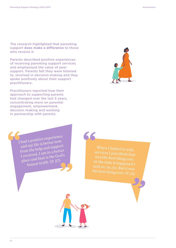The research highlighted that parenting support **does make a difference** to those who receive it.

Parents described positive experiences of receiving parenting support services and emphasised the value of peer support. Parents felt they were listened to, involved in decision-making and they spoke positively about their support practitioners.

Practitioners reported how their approach to supporting parents had changed over the last 5 years, concentrating more on parental engagement, empowerment, decision-making and working in partnership with parents.

![](_page_16_Picture_5.jpeg)

I had a positive experience and my life is better now from the help and support I received, I am in a better place and that is the God's honest truth. (P. 27)

services I just think that was the best thing ever. said no, no, no. But it was

![](_page_16_Picture_8.jpeg)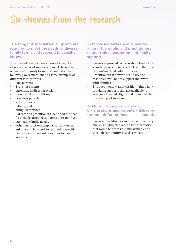## Six themes from the research

#### 1) A range of specialised supports are required to meet the needs of diverse family forms and respond to specific issues.

Parents and practitioners stressed a need for a broader range of supports to meet the needs of particular family forms and contexts. The following were mentioned as some examples of different family forms:

- lone parents:
- Traveller parents;
- parenting in direct provision;
- parents with disabilities;
- homeless parents;
- kinship carers;
- fathers: and
- bilingual families.
- Parents and practitioners identified the need for specific, targeted supports to respond to particular family needs.
- Other jurisdictions emphasised how extra guidance on how best to respond to specific needs were important resources to have available.

#### 2) Increased awareness is needed among the public and practitioners on our role in parenting and family support.

- Parents expressed concern about the lack of knowledge of support available and their fear of being involved with our services.
- Practitioners are aware of and use the resources available to support their work with families.
- The documentary analysis highlighted how providing supports that are available to everyone lowered stigma and increased the use of support services.

#### 3) More information for staff, organisations and parents – delivered through different means – is needed.

• Parents, practitioners and the documentary analysis highlighted a need for information that would be accessible and available to all through community-based services.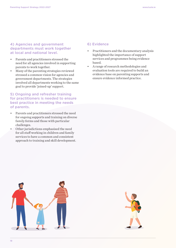#### 4) Agencies and government departments must work together at local and national level.

- Parents and practitioners stressed the need for all agencies involved in supporting parents to work together.
- Many of the parenting strategies reviewed stressed a common vision for agencies and government departments. The strategies involved all departments working to the same goal to provide 'joined-up' support.

#### 5) Ongoing and refresher training for practitioners is needed to ensure best practice in meeting the needs of parents.

- Parents and practitioners stressed the need for ongoing supports and training on diverse family forms and those with particular challenges.
- Other jurisdictions emphasised the need for all staff working in children and family services to have a common and consistent approach to training and skill development.

#### 6) Evidence

- Practitioners and the documentary analysis highlighted the importance of support services and programmes being evidence based.
- A range of research methodologies and evaluation tools are required to build an evidence base on parenting supports and ensure evidence informed practice.

![](_page_18_Picture_11.jpeg)

![](_page_18_Picture_12.jpeg)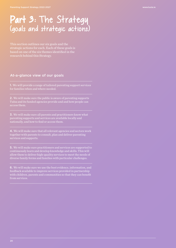### Part 3: The Strategy (goals and strategic actions)

This section outlines our six goals and the based on one of the six themes identified in the research behind this Strategy.

#### At-a-glance view of our goals

1. We will provide a range of tailored parenting support services for families when and where needed.

2. We will make sure the public is aware of parenting supports Tulsa and its funded agencies provide and and how people can access them.

3. We will make sure all parents and practitioners know what parenting supports and services are available locally and

4. We will make sure that all relevant agencies and sectors work together with parents to consult, plan and deliver parenting services and supports.

5. We will make sure practitioners and services are supported to continuously learn and develop knowledge and skills. This will allow them to deliver high-quality services to meet the needs of diverse family forms and families with particular challenges.

feedback available to improve services provided in partnership with children, parents and communities so that they can benefit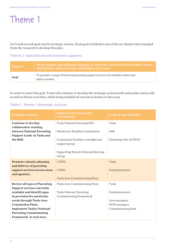### Theme 1

Let's look at each goal and its strategic actions. Each goal is linked to one of the six themes that emerged from the research to develop this plan.

#### Theme 1: Specialised and tailored supports

| Theme 1 | Wide ranging and tailored supports to meet the needs of diverse family forms<br>and families with particular challenges and issues |
|---------|------------------------------------------------------------------------------------------------------------------------------------|
| Goal    | To provide a range of tailored parenting support services for families when and<br>where needed.                                   |

In order to meet this goal, Tusla will continue to develop the strategic actions both nationally and locally as well as future activities, while being mindful of current activities in this area.

#### Table 1. Theme 1 Strategic Actions

| <b>Strategic Actions</b>                                        | <b>National Structures and</b><br><b>Frameworks</b> | <b>Leads &amp; Key Partners</b> |
|-----------------------------------------------------------------|-----------------------------------------------------|---------------------------------|
| <b>Continue to develop</b><br>collaborative working             | Tusla National Parenting WG                         | Tusla                           |
| between National Parenting<br><b>Support Leads in Tusla and</b> | Sláintecare Healthy Communities                     | <b>HSE</b>                      |
| the HSE.                                                        | Community Families: oversight and<br>support group  | Parenting Unit, DCEDIY          |
|                                                                 | Supporting Parents National Steering<br>Group       |                                 |
| <b>Promote cohesive planning</b><br>and delivery of parenting   | <b>CYPSC</b>                                        | Tusla                           |
| support services across areas<br>and agencies.                  | <b>CFSNs</b>                                        | <b>Funded partners</b>          |
|                                                                 | Tusla Area Commissioning Plans                      |                                 |
| <b>Review all types of Parenting</b>                            | Tusla Area Commissioning Plans                      | Tusla                           |
| <b>Support services currently</b>                               |                                                     |                                 |
| available and identify gaps                                     | <b>Tusla National Parenting</b>                     | Funded partners                 |
| in provision for particular                                     | <b>Commissioning Framework</b>                      |                                 |
| needs through Tusla Area                                        |                                                     | Area managers,                  |
| <b>Commission Plans.</b>                                        |                                                     | PPFS managers,                  |
| <b>Implement Tusla's National</b>                               |                                                     | Commissioning leads             |
| <b>Parenting Commissioning</b>                                  |                                                     |                                 |
| Framework in each area.                                         |                                                     |                                 |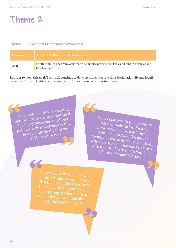### Theme 2

#### Theme 2: Public and Practitioner Awareness

| Theme 2 | <b>Public and Practitioner Awareness</b>                                                                          |
|---------|-------------------------------------------------------------------------------------------------------------------|
| Goal    | For the public to be aware of parenting supports provided by Tusla and funded agencies and<br>how to access them. |

In order to meet this goal, Tusla will continue to develop the strategic actions both nationally and locally as well as future activities, while being mindful of current activities in this area.

I encourage a positive parenting approach with clients as outlined in 50 Key Messages and direct parents to these websites so that they can inform themselves (FRC Practitioner)

I direct parents to the Parenting 24seven website for tips and information. I also use it myself to inform practice. The parent champion representative on our team will share information and resources with us as well to use with families. (Family Support Worker)

all of this I wouldn't even know or anything or where to turn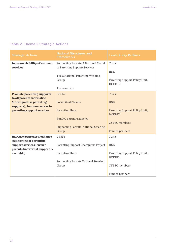#### Table 2. Theme 2 Strategic Actions

| <b>Strategic Actions</b>                                                                                                                                  | <b>National Structures and</b><br><b>Frameworks</b>                                                                                                         | <b>Leads &amp; Key Partners</b>                                                                                          |
|-----------------------------------------------------------------------------------------------------------------------------------------------------------|-------------------------------------------------------------------------------------------------------------------------------------------------------------|--------------------------------------------------------------------------------------------------------------------------|
| <b>Increase visibility of national</b><br>services                                                                                                        | Supporting Parents: A National Model<br>of Parenting Support Services<br>Tusla National Parenting Working<br>Group<br>Tusla website                         | Tusla<br><b>HSE</b><br>Parenting Support Policy Unit,<br><b>DCEDIY</b>                                                   |
| <b>Promote parenting supports</b><br>to all parents (normalise<br>& destigmatise parenting<br>supports), Increase access to<br>parenting support services | <b>CFSNs</b><br><b>Social Work Teams</b><br><b>Parenting Hubs</b><br><b>Funded partner agencies</b><br><b>Supporting Parents National Steering</b><br>Group | Tusla<br><b>HSE</b><br>Parenting Support Policy Unit,<br><b>DCEDIY</b><br><b>CYPSC</b> members<br><b>Funded partners</b> |
| <b>Increase awareness, enhance</b><br>signposting of parenting<br>support services (ensure<br>parents know what support is<br>available)                  | <b>CFSNs</b><br>Parenting Support Champions Project<br>Parenting Hubs<br><b>Supporting Parents National Steering</b><br>Group                               | Tusla<br><b>HSE</b><br>Parenting Support Policy Unit,<br><b>DCEDIY</b><br><b>CYPSC</b> members<br>Funded partners        |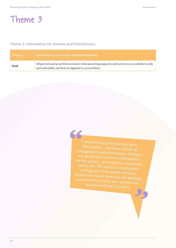### Theme 3

#### Theme 3: Information for Parents and Practitioners

| Theme 3 | Information for Parents and Practitioners                                                                                                            |
|---------|------------------------------------------------------------------------------------------------------------------------------------------------------|
| Goal    | All parents and practitioners know what parenting supports and services are available locally<br>and nationally, and how to signpost or access them. |

information – we focus mostly on engagement and relationship. Perhaps we should give out more information on the agency – procedures, complaints setting and try to deliver services we need to formalise how parents are informed (Project Leader)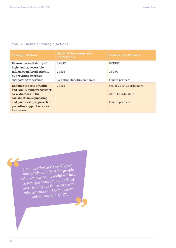#### Table 3. Theme 3 Strategic Actions

| <b>Strategic Actions</b>                          | <b>National Structures and</b><br><b>Frameworks</b> | <b>Leads &amp; Key Partners</b> |
|---------------------------------------------------|-----------------------------------------------------|---------------------------------|
| <b>Ensure the availability of</b>                 | <b>CYPSC</b>                                        | <b>DCEDIY</b>                   |
| high quality, accessible                          |                                                     |                                 |
| information for all parents                       | <b>CFSNs</b>                                        | <b>CYPSC</b>                    |
| by providing effective<br>signposting to services | Parenting Hubs (in some areas)                      | <b>Funded partners</b>          |
|                                                   |                                                     |                                 |
| <b>Enhance the role of Child</b>                  | <b>CFSNs</b>                                        | <b>Senior CFSN Coordinators</b> |
| and Family Support Network                        |                                                     |                                 |
| co-ordinators in the                              |                                                     | <b>CFSN</b> Coordinators        |
| coordination, signposting                         |                                                     |                                 |
| and partnership approach to                       |                                                     | <b>Funded partners</b>          |
| parenting support services in                     |                                                     |                                 |
| local areas.                                      |                                                     |                                 |

I am married and usually you would think it is just for people who are maybe on social welfare or lone parents, you don't think there is help out there for people who are seen as, I don't know... not vulnerable. (P. 22)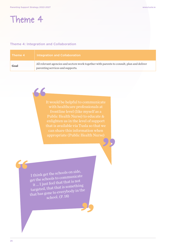### Theme 4

#### Theme 4: Integration and Collaboration

| Theme 4 | Integration and Collaboration                                                                                                 |
|---------|-------------------------------------------------------------------------------------------------------------------------------|
| Goal    | All relevant agencies and sectors work together with parents to consult, plan and deliver<br>parenting services and supports. |

enlighten us in the level of support

I think get the schools on side, get the schools to communicate it … I just feel that that is not targeted, that that is something that has gone to everybody in the school. (P. 18)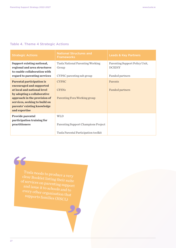#### Table 4. Theme 4 Strategic Actions

| <b>Strategic Actions</b>                                                                                                                                                                                                                    | <b>National Structures and</b><br><b>Frameworks</b>                                       | <b>Leads &amp; Key Partners</b>                                    |
|---------------------------------------------------------------------------------------------------------------------------------------------------------------------------------------------------------------------------------------------|-------------------------------------------------------------------------------------------|--------------------------------------------------------------------|
| Support existing national,<br>regional and area structures<br>to enable collaboration with<br>regard to parenting services                                                                                                                  | Tusla National Parenting Working<br>Group<br>CYPSC parenting sub group                    | Parenting Support Policy Unit,<br><b>DCEDIY</b><br>Funded partners |
| <b>Parental participation is</b><br>encouraged and supported<br>at local and national level<br>by adopting a collaborative<br>approach in the provision of<br>services, seeking to build on<br>parents' existing knowledge<br>and expertise | <b>CYPSC</b><br><b>CFSNs</b><br>Parenting Fora Working group                              | Parents<br><b>Funded partners</b>                                  |
| Provide parental<br>participation training for<br>practitioners                                                                                                                                                                             | <b>WLD</b><br>Parenting Support Champions Project<br>Tusla Parental Participation toolkit |                                                                    |

Tusla needs to produce a very clear Booklet listing their suite of services on parenting support every other organisation that

66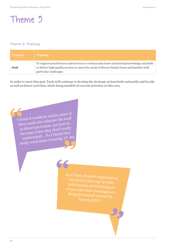### Theme 5

#### Theme 5: Training

| Theme 5 | <b>Training</b>                                                                                                                                                                                                        |
|---------|------------------------------------------------------------------------------------------------------------------------------------------------------------------------------------------------------------------------|
| Goal    | To support practitioners and services to continuously learn and develop knowledge and skills<br>to deliver high quality services to meet the needs of diverse family forms and families with<br>particular challenges. |

In order to meet this goal, Tusla will continue to develop the strategic actions both nationally and locally as well as future activities, while being mindful of current activities in this area.

I think it would be much easier if they could also educate the staff in direct provision, not just us, because some they don't really understand … So I think they really need more training. (P. 46)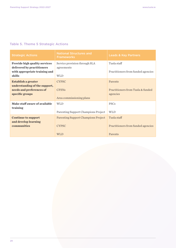#### Table 5. Theme 5 Strategic Actions

| <b>Strategic Actions</b>                                                                                      | <b>National Structures and</b><br><b>Frameworks</b>                      | <b>Leads &amp; Key Partners</b>                              |
|---------------------------------------------------------------------------------------------------------------|--------------------------------------------------------------------------|--------------------------------------------------------------|
| <b>Provide high quality services</b><br>delivered by practitioners<br>with appropriate training and<br>skills | Service provision through SLA<br>agreements<br><b>WLD</b>                | Tusla staff<br>Practitioners from funded agencies            |
| <b>Establish a greater</b><br>understanding of the support,<br>needs and preferences of<br>specific groups    | <b>CYPSC</b><br><b>CFSNs</b><br>Area commissioning plans                 | Parents<br>Practitioners from Tusla & funded<br>agencies     |
| Make staff aware of available<br>training                                                                     | <b>WLD</b><br>Parenting Support Champions Project                        | <b>PSCs</b><br><b>WLD</b>                                    |
| <b>Continue to support</b><br>and develop learning<br>communities                                             | <b>Parenting Support Champions Project</b><br><b>CYPSC</b><br><b>WLD</b> | Tusla staff<br>Practitioners from funded agencies<br>Parents |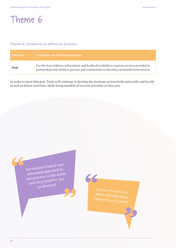### Theme 6

#### Theme 6: Evidence on effective practice

| Theme 6 | <b>Evidence on effective practice</b>                                                                                                                                                    |
|---------|------------------------------------------------------------------------------------------------------------------------------------------------------------------------------------------|
| Goal    | Use the best evidence, information, and feedback available to improve services provided in<br>partnership with children, parents and communities so that they can benefit from services. |

In order to meet this goal, Tusla will continue to develop the strategic actions both nationally and locally as well as future activities, while being mindful of current activities in this area.

![](_page_29_Picture_6.jpeg)

what already exists

66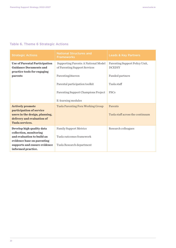#### Table 6. Theme 6 Strategic Actions

| <b>Strategic Actions</b>                                                                                                                                              | <b>National Structures and</b><br><b>Frameworks</b>                                    | <b>Leads &amp; Key Partners</b>                 |
|-----------------------------------------------------------------------------------------------------------------------------------------------------------------------|----------------------------------------------------------------------------------------|-------------------------------------------------|
| <b>Use of Parental Participation</b><br><b>Guidance Documents and</b><br>practice tools for engaging                                                                  | Supporting Parents: A National Model<br>of Parenting Support Services                  | Parenting Support Policy Unit,<br><b>DCEDIY</b> |
| parents                                                                                                                                                               | Parenting24seven                                                                       | Funded partners                                 |
|                                                                                                                                                                       | Parental participation toolkit                                                         | Tusla staff                                     |
|                                                                                                                                                                       | Parenting Support Champions Project                                                    | <b>PSCs</b>                                     |
|                                                                                                                                                                       | E-learning modules                                                                     |                                                 |
| <b>Actively promote</b><br>participation of service<br>users in the design, planning,<br>delivery and evaluation of<br>Tusla services.                                | Tusla Parenting Fora Working Group                                                     | Parents<br>Tusla staff across the continuum     |
| Develop high quality data<br>collection, monitoring<br>and evaluation to build an<br>evidence base on parenting<br>supports and ensure evidence<br>informed practice. | <b>Family Support Metrics</b><br>Tusla outcomes framework<br>Tusla Research department | Research colleagues                             |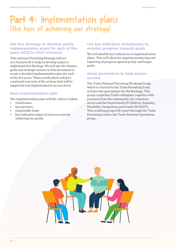### Part 4: Implementation plans (the how of achieving our strategy)

#### Use this Strategy to develop yearly implementation plans for each of the years 2022 to 2027 inclusive.

This national Parenting Strategy will act as a framework to help us develop a plan to implement this Strategy. We will use the themes, goals and strategic actions in this document to create a detailed implementation plan for each of the five years. These yearly plans will give a national overview of the actions that will be supported and implemented at an area level.

#### Each implementation plan

The implementation plan will list, where evident:

- timeframes
- key partners
- responsible leads
- key indicators (signs of success towards achieving our goals).

#### Use key indicators (milestones) to monitor progress towards goals

We will identify key indicators in implementation plans. This will allow for ongoing monitoring and reporting of progress against yearly and longer goals.

#### Good governance to help ensure success

The Tusla National Parenting Working Group, which is chaired by the Tusla Parenting Lead, will provide governance for the Strategy. This group comprises Tusla colleagues, together with partners from the community, the voluntary sector and the Department of Children, Equality, Disability, Integration and Youth (DCEDIY). This working group will report through the Tusla Parenting Lead to the Tusla National Operations group.

![](_page_31_Picture_15.jpeg)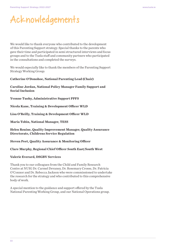## Acknowledgements

We would like to thank everyone who contributed to the development of this Parenting Support strategy. Special thanks to the parents who gave their time and participated in semi structured interviews and focus groups and to the Tusla staff and community partners who participated in the consultations and completed the surveys.

We would especially like to thank the members of the Parenting Support Strategy Working Group:

#### **Catherine O'Donohoe, National Parenting Lead (Chair)**

**Caroline Jordan, National Policy Manager Family Support and Social Inclusion**

**Yvonne Tuohy, Administrative Support PPFS** 

**Nicola Kane, Training & Development Officer WLD**

**Lisa O'Reilly, Training & Development Officer WLD**

**Maria Tobin, National Manager, TESS**

**Helen Rouine, Quality Improvement Manager, Quality Assurance Directorate, Childrens Service Regulation**

**Steven Peet, Quality Assurance & Monitoring Officer**

**Clare Murphy, Regional Chief Officer South East/South West**

#### **Valerie Everard, DSGBV Services**

Thank you to our colleagues from the Child and Family Research Centre at NUIG Dr. Carmel Devaney, Dr. Rosemary Crosse, Dr. Patricia O'Connor and Dr. Rebecca Jackson who were commissioned to undertake the research for the strategy and who contributed to this comprehensive body of work.

A special mention to the guidance and support offered by the Tusla National Parenting Working Group, and our National Operations group.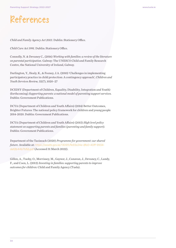### References

*Child and Family Agency Act 2013.* Dublin: Stationery Office.

*Child Care Act 1991.* Dublin: Stationery Office.

Connolly, N. & Devaney C., (2016) *Working with families: a review of the literature on parental participation.* Galway: The UNESCO Child and Family Research Centre, the National University of Ireland, Galway.

Darlington, Y., Healy, K., & Feeney, J.A. (2010) 'Challenges in implementing participatory practice in child protection: A contingency approach', *Children and Youth Services Review,* 32(7), 1020–27

DCEDIY (Department of Children, Equality, Disability, Integration and Youth) (forthcoming) *Supporting parents: a national model of parenting support services.*  Dublin: Government Publications.

DCYA (Department of Children and Youth Affairs) (2014) Better Outcomes, Brighter Futures: The national policy framework for children and young people 2014-2020. Dublin: Government Publications.

DCYA (Department of Children and Youth Affairs) (2015) *High level policy statement on supporting parents and families (parenting and family support).* Dublin: Government Publications.

Department of the Taoiseach (2020) *Programme for government: our shared future.* Available at: https://assets.gov.ie/130911/fe93e24e-dfe0-40ff-9934 def2b44b7b52.pdf (Accessed 31 March 2022).

Gillen, A., Tuohy, O., Morrissey, M., Gaynor, J., Canavan, J., Devaney, C., Landy, F., and Coen, L. (2013) *Investing in families: supporting parents to improve outcomes for children:* Child and Family Agency (Tusla).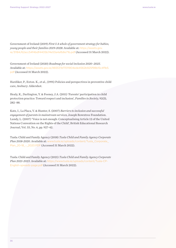Government of Ireland (2019) *First 5 A whole of government strategy for babies, young people and their families 2019-2028*. Available at: https://assets.gov. ie/31184/62acc54f4bdf4405b74e53a4afb8e71b.pdf (Accessed 31 March 2022).

Government of Ireland (2020) *Roadmap for social inclusion 2020–2025.*  Available at: https://assets.gov.ie/46557/bf7011904ede4562b925f98b15c4f1b5. pdf (Accessed 31 March 2022).

Hardiker, P., Exton. K., et al., (1991) Policies and perspectives in preventive child care, Avebury: Aldershot.

Healy, K., Darlington, Y. & Feeney, J.A. (2011) 'Parents' participation in child protection practice: Toward respect and inclusion', *Families in Society,* 92(3), 282–88.

Katz, I., La Placa, V. & Hunter, S. (2007) *Barriers to inclusion and successful engagement of parents in mainstream services*, Joseph Rowntree Foundation. Lundy, L. (2007) 'Voice is not enough: Conceptualising Article 12 of the United Nations Convention on the Rights of the Child', British Educational Research Journal, Vol. 33, No. 6, pp. 927-42.

Tusla: Child and Family Agency (2018) *Tusla Child and Family Agency Corporate Plan 2018-2020*. Available at: www.tusla.ie/uploads/content/Tusla\_Corporate\_ Plan\_20-18\_-\_2020.PDF (Accessed 31 March 2022).

Tusla: Child and Family Agency (2021) *Tusla Child and Family Agency Corporate Plan 2021-2023*. Available at: https://www.tusla.ie/uploads/content/Tusla-CP-English-spreads-page.pdf (Accessed 31 March 2022).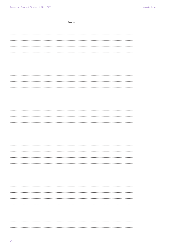. . . . .

| <b>Notes</b> |
|--------------|
|              |
|              |
|              |
|              |
|              |
|              |
|              |
|              |
|              |
|              |
|              |
|              |
|              |
|              |
|              |
|              |
|              |
|              |
|              |
|              |
|              |
|              |
|              |
|              |
|              |
|              |
|              |
|              |
|              |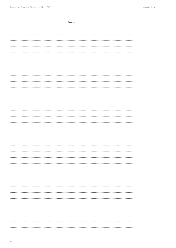.....

| <b>Notes</b> |
|--------------|
|              |
|              |
|              |
|              |
|              |
|              |
|              |
|              |
|              |
|              |
|              |
|              |
|              |
|              |
|              |
|              |
|              |
|              |
|              |
|              |
|              |
|              |
|              |
|              |
|              |
|              |
|              |
|              |
|              |
|              |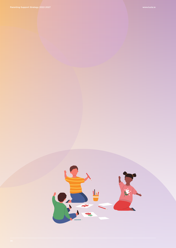![](_page_37_Picture_2.jpeg)